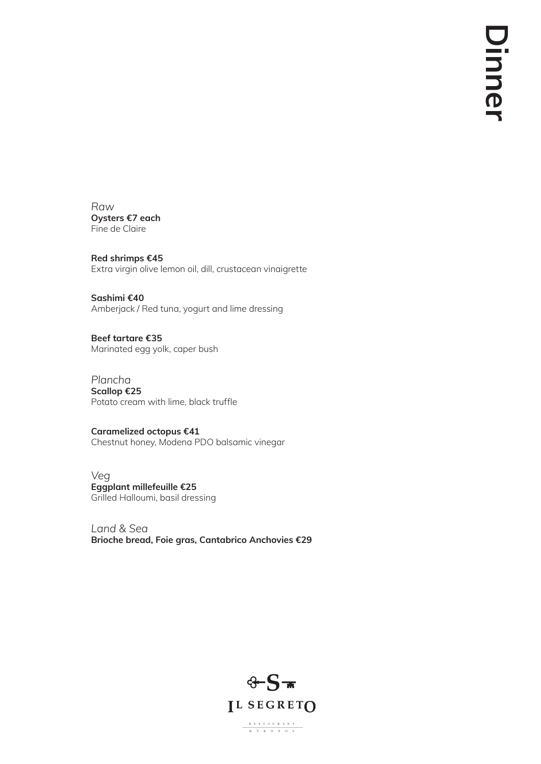*Raw* **Oysters €7 each** Fine de Claire

**Red shrimps €45** Extra virgin olive lemon oil, dill, crustacean vinaigrette

**Sashimi €40** Amberjack / Red tuna, yogurt and lime dressing

**Beef tartare €35** Marinated egg yolk, caper bush

*Plancha* **Scallop €25** Potato cream with lime, black truffle

**Caramelized octopus €41** Chestnut honey, Modena PDO balsamic vinegar

*Veg* **Eggplant millefeuille €25** Grilled Halloumi, basil dressing

*Land & Sea* **Brioche bread, Foie gras, Cantabrico Anchovies €29**

 $\begin{array}{cccccccccccccc} & & R & E & S & T & A & U & R & A & N & T \\ \hline & & M & Y & K & O & N & O & S \\ \end{array}$ 

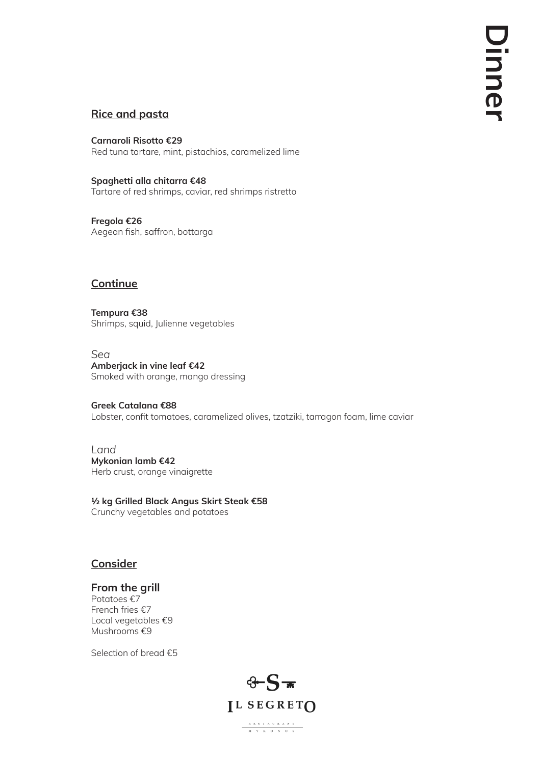# **Rice and pasta**

**Carnaroli Risotto €29** Red tuna tartare, mint, pistachios, caramelized lime

**Tempura €38** Shrimps, squid, Julienne vegetables

**Spaghetti alla chitarra €48** Tartare of red shrimps, caviar, red shrimps ristretto

**Fregola €26** Aegean fish, saffron, bottarga

## **Continue**

*Sea* **Amberjack in vine leaf €42** Smoked with orange, mango dressing

**Greek Catalana €88** Lobster, confit tomatoes, caramelized olives, tzatziki, tarragon foam, lime caviar

*Land* **Mykonian lamb €42** Herb crust, orange vinaigrette

**½ kg Grilled Black Angus Skirt Steak €58** Crunchy vegetables and potatoes

### **Consider**

### **From the grill**

Potatoes €7 French fries €7 Local vegetables €9 Mushrooms €9

Selection of bread €5



 $\begin{array}{cccccccccccccc} \text{R} & \text{E} & \text{S} & \text{T} & \text{A} & \text{U} & \text{R} & \text{A} & \text{N} & \text{T} \end{array}$ 

 $M = Y - K = 0 \qquad N = 0 \qquad S$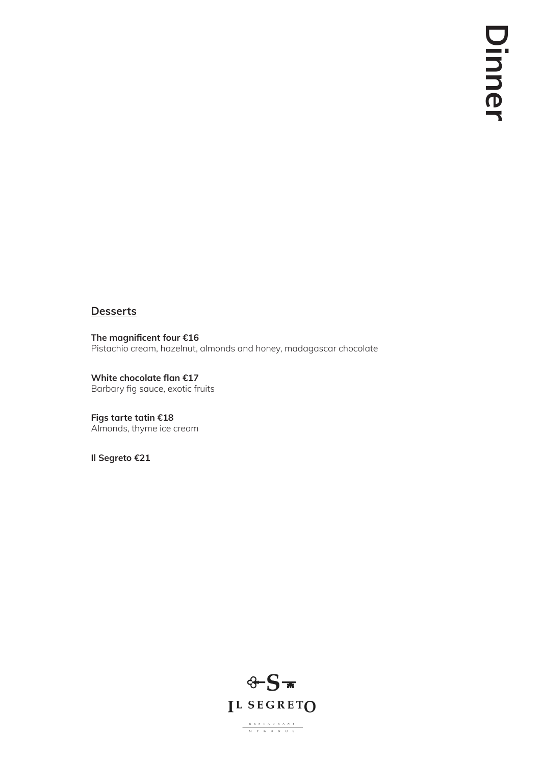## **Desserts**

**The magnificent four €16** Pistachio cream, hazelnut, almonds and honey, madagascar chocolate

**White chocolate flan €17** Barbary fig sauce, exotic fruits

**Figs tarte tatin €18** Almonds, thyme ice cream

**Il Segreto €21**

 $\begin{array}{c|ccccccccc} & R & E & S & T & A & U & R & A & N & T \\ \hline & M & Y & K & O & N & O & S \\ \end{array}$ 

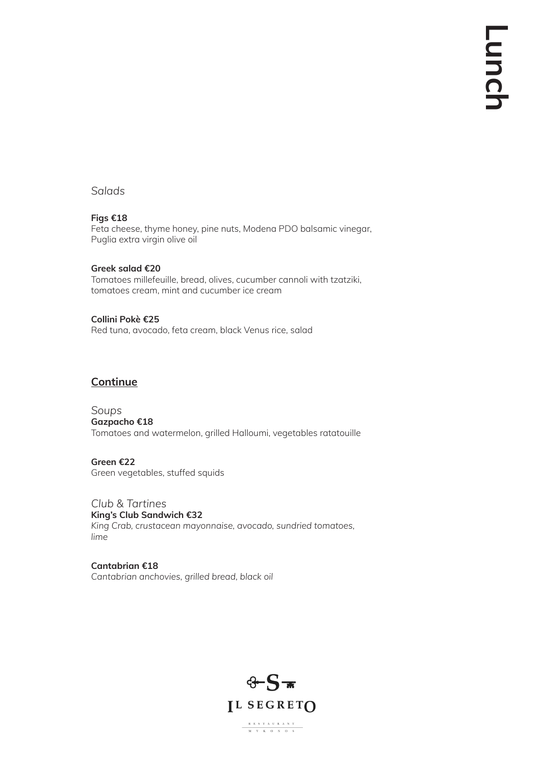### *Salads*

#### **Figs €18**

Feta cheese, thyme honey, pine nuts, Modena PDO balsamic vinegar, Puglia extra virgin olive oil

#### **Greek salad €20**

Tomatoes millefeuille, bread, olives, cucumber cannoli with tzatziki, tomatoes cream, mint and cucumber ice cream

#### **Collini Pokè €25**

Red tuna, avocado, feta cream, black Venus rice, salad

## **Continue**

*Soups* **Gazpacho €18** Tomatoes and watermelon, grilled Halloumi, vegetables ratatouille

**Green €22** Green vegetables, stuffed squids

*Club & Tartines* **King's Club Sandwich €32** *King Crab, crustacean mayonnaise, avocado, sundried tomatoes, lime*

#### **Cantabrian €18**

*Cantabrian anchovies, grilled bread, black oil*

 $\begin{array}{cccccccccccccc} & R & E & S & T & A & U & R & A & N & T \\ & & M & Y & K & O & N & O & S \\ \end{array}$ 



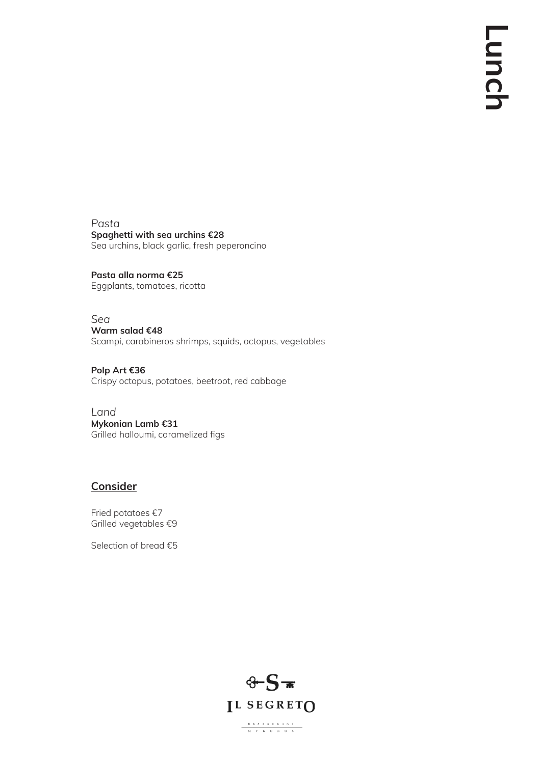*Pasta* **Spaghetti with sea urchins €28** Sea urchins, black garlic, fresh peperoncino

**Pasta alla norma €25** Eggplants, tomatoes, ricotta

*Sea* **Warm salad €48** Scampi, carabineros shrimps, squids, octopus, vegetables

**Polp Art €36** Crispy octopus, potatoes, beetroot, red cabbage

*Land* **Mykonian Lamb €31** Grilled halloumi, caramelized figs

# **Consider**

Fried potatoes €7 Grilled vegetables €9

Selection of bread €5

 $\begin{array}{c|cccccc} & R & E & S & T & A & U & R & A & N & T \\ \hline & M & Y & K & O & N & O & S \\ \end{array}$